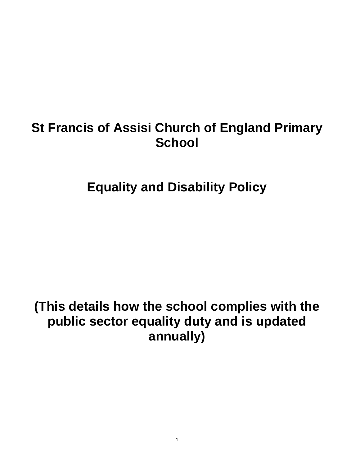# **St Francis of Assisi Church of England Primary School**

**Equality and Disability Policy**

# **(This details how the school complies with the public sector equality duty and is updated annually)**

1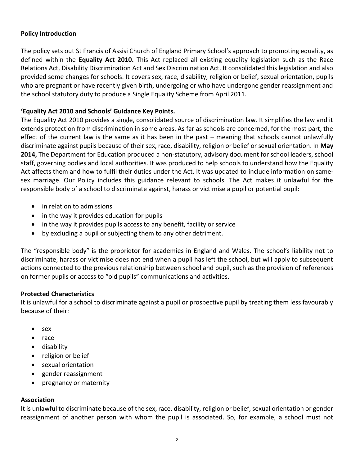## **Policy Introduction**

The policy sets out St Francis of Assisi Church of England Primary School's approach to promoting equality, as defined within the **Equality Act 2010.** This Act replaced all existing equality legislation such as the Race Relations Act, Disability Discrimination Act and Sex Discrimination Act. It consolidated this legislation and also provided some changes for schools. It covers sex, race, disability, religion or belief, sexual orientation, pupils who are pregnant or have recently given birth, undergoing or who have undergone gender reassignment and the school statutory duty to produce a Single Equality Scheme from April 2011.

## **'Equality Act 2010 and Schools' Guidance Key Points.**

The Equality Act 2010 provides a single, consolidated source of discrimination law. It simplifies the law and it extends protection from discrimination in some areas. As far as schools are concerned, for the most part, the effect of the current law is the same as it has been in the past – meaning that schools cannot unlawfully discriminate against pupils because of their sex, race, disability, religion or belief or sexual orientation. In **May 2014,** The Department for Education produced a non-statutory, advisory document for school leaders, school staff, governing bodies and local authorities. It was produced to help schools to understand how the Equality Act affects them and how to fulfil their duties under the Act. It was updated to include information on samesex marriage. Our Policy includes this guidance relevant to schools. The Act makes it unlawful for the responsible body of a school to discriminate against, harass or victimise a pupil or potential pupil:

- in relation to admissions
- in the way it provides education for pupils
- in the way it provides pupils access to any benefit, facility or service
- by excluding a pupil or subjecting them to any other detriment.

The "responsible body" is the proprietor for academies in England and Wales. The school's liability not to discriminate, harass or victimise does not end when a pupil has left the school, but will apply to subsequent actions connected to the previous relationship between school and pupil, such as the provision of references on former pupils or access to "old pupils" communications and activities.

## **Protected Characteristics**

It is unlawful for a school to discriminate against a pupil or prospective pupil by treating them less favourably because of their:

- sex
- race
- disability
- religion or belief
- sexual orientation
- gender reassignment
- pregnancy or maternity

## **Association**

It is unlawful to discriminate because of the sex, race, disability, religion or belief, sexual orientation or gender reassignment of another person with whom the pupil is associated. So, for example, a school must not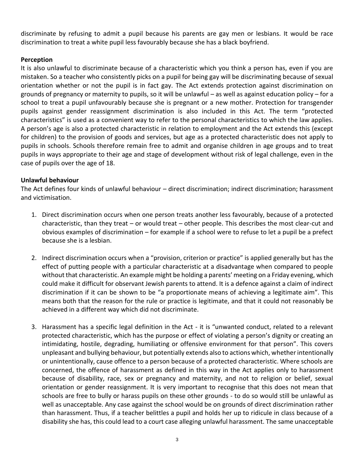discriminate by refusing to admit a pupil because his parents are gay men or lesbians. It would be race discrimination to treat a white pupil less favourably because she has a black boyfriend.

## **Perception**

It is also unlawful to discriminate because of a characteristic which you think a person has, even if you are mistaken. So a teacher who consistently picks on a pupil for being gay will be discriminating because of sexual orientation whether or not the pupil is in fact gay. The Act extends protection against discrimination on grounds of pregnancy or maternity to pupils, so it will be unlawful – as well as against education policy – for a school to treat a pupil unfavourably because she is pregnant or a new mother. Protection for transgender pupils against gender reassignment discrimination is also included in this Act. The term "protected characteristics" is used as a convenient way to refer to the personal characteristics to which the law applies. A person's age is also a protected characteristic in relation to employment and the Act extends this (except for children) to the provision of goods and services, but age as a protected characteristic does not apply to pupils in schools. Schools therefore remain free to admit and organise children in age groups and to treat pupils in ways appropriate to their age and stage of development without risk of legal challenge, even in the case of pupils over the age of 18.

# **Unlawful behaviour**

The Act defines four kinds of unlawful behaviour – direct discrimination; indirect discrimination; harassment and victimisation.

- 1. Direct discrimination occurs when one person treats another less favourably, because of a protected characteristic, than they treat – or would treat – other people. This describes the most clear-cut and obvious examples of discrimination – for example if a school were to refuse to let a pupil be a prefect because she is a lesbian.
- 2. Indirect discrimination occurs when a "provision, criterion or practice" is applied generally but has the effect of putting people with a particular characteristic at a disadvantage when compared to people without that characteristic. An example might be holding a parents' meeting on a Friday evening, which could make it difficult for observant Jewish parents to attend. It is a defence against a claim of indirect discrimination if it can be shown to be "a proportionate means of achieving a legitimate aim". This means both that the reason for the rule or practice is legitimate, and that it could not reasonably be achieved in a different way which did not discriminate.
- 3. Harassment has a specific legal definition in the Act it is "unwanted conduct, related to a relevant protected characteristic, which has the purpose or effect of violating a person's dignity or creating an intimidating, hostile, degrading, humiliating or offensive environment for that person". This covers unpleasant and bullying behaviour, but potentially extends also to actions which, whether intentionally or unintentionally, cause offence to a person because of a protected characteristic. Where schools are concerned, the offence of harassment as defined in this way in the Act applies only to harassment because of disability, race, sex or pregnancy and maternity, and not to religion or belief, sexual orientation or gender reassignment. It is very important to recognise that this does not mean that schools are free to bully or harass pupils on these other grounds - to do so would still be unlawful as well as unacceptable. Any case against the school would be on grounds of direct discrimination rather than harassment. Thus, if a teacher belittles a pupil and holds her up to ridicule in class because of a disability she has, this could lead to a court case alleging unlawful harassment. The same unacceptable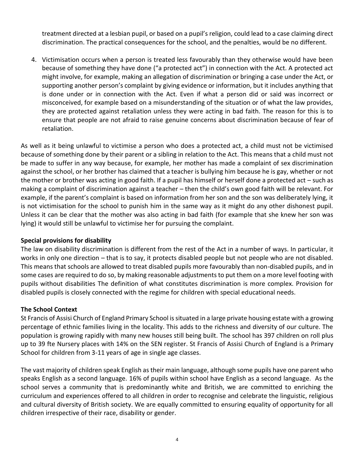treatment directed at a lesbian pupil, or based on a pupil's religion, could lead to a case claiming direct discrimination. The practical consequences for the school, and the penalties, would be no different.

4. Victimisation occurs when a person is treated less favourably than they otherwise would have been because of something they have done ("a protected act") in connection with the Act. A protected act might involve, for example, making an allegation of discrimination or bringing a case under the Act, or supporting another person's complaint by giving evidence or information, but it includes anything that is done under or in connection with the Act. Even if what a person did or said was incorrect or misconceived, for example based on a misunderstanding of the situation or of what the law provides, they are protected against retaliation unless they were acting in bad faith. The reason for this is to ensure that people are not afraid to raise genuine concerns about discrimination because of fear of retaliation.

As well as it being unlawful to victimise a person who does a protected act, a child must not be victimised because of something done by their parent or a sibling in relation to the Act. This means that a child must not be made to suffer in any way because, for example, her mother has made a complaint of sex discrimination against the school, or her brother has claimed that a teacher is bullying him because he is gay, whether or not the mother or brother was acting in good faith. If a pupil has himself or herself done a protected act – such as making a complaint of discrimination against a teacher – then the child's own good faith will be relevant. For example, if the parent's complaint is based on information from her son and the son was deliberately lying, it is not victimisation for the school to punish him in the same way as it might do any other dishonest pupil. Unless it can be clear that the mother was also acting in bad faith (for example that she knew her son was lying) it would still be unlawful to victimise her for pursuing the complaint.

## **Special provisions for disability**

The law on disability discrimination is different from the rest of the Act in a number of ways. In particular, it works in only one direction – that is to say, it protects disabled people but not people who are not disabled. This means that schools are allowed to treat disabled pupils more favourably than non-disabled pupils, and in some cases are required to do so, by making reasonable adjustments to put them on a more level footing with pupils without disabilities The definition of what constitutes discrimination is more complex. Provision for disabled pupils is closely connected with the regime for children with special educational needs.

## **The School Context**

St Francis of Assisi Church of England Primary School is situated in a large private housing estate with a growing percentage of ethnic families living in the locality. This adds to the richness and diversity of our culture. The population is growing rapidly with many new houses still being built. The school has 397 children on roll plus up to 39 fte Nursery places with 14% on the SEN register. St Francis of Assisi Church of England is a Primary School for children from 3-11 years of age in single age classes.

The vast majority of children speak English as their main language, although some pupils have one parent who speaks English as a second language. 16% of pupils within school have English as a second language. As the school serves a community that is predominantly white and British, we are committed to enriching the curriculum and experiences offered to all children in order to recognise and celebrate the linguistic, religious and cultural diversity of British society. We are equally committed to ensuring equality of opportunity for all children irrespective of their race, disability or gender.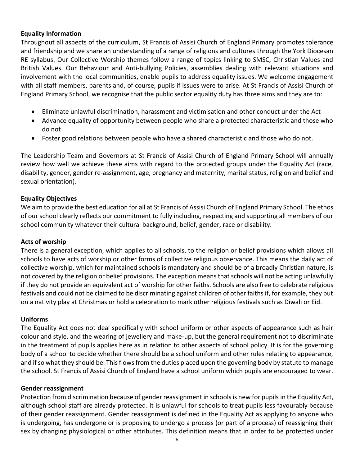#### **Equality Information**

Throughout all aspects of the curriculum, St Francis of Assisi Church of England Primary promotes tolerance and friendship and we share an understanding of a range of religions and cultures through the York Diocesan RE syllabus. Our Collective Worship themes follow a range of topics linking to SMSC, Christian Values and British Values. Our Behaviour and Anti-bullying Policies, assemblies dealing with relevant situations and involvement with the local communities, enable pupils to address equality issues. We welcome engagement with all staff members, parents and, of course, pupils if issues were to arise. At St Francis of Assisi Church of England Primary School, we recognise that the public sector equality duty has three aims and they are to:

- Eliminate unlawful discrimination, harassment and victimisation and other conduct under the Act
- Advance equality of opportunity between people who share a protected characteristic and those who do not
- Foster good relations between people who have a shared characteristic and those who do not.

The Leadership Team and Governors at St Francis of Assisi Church of England Primary School will annually review how well we achieve these aims with regard to the protected groups under the Equality Act (race, disability, gender, gender re-assignment, age, pregnancy and maternity, marital status, religion and belief and sexual orientation).

#### **Equality Objectives**

We aim to provide the best education for all at St Francis of Assisi Church of England Primary School. The ethos of our school clearly reflects our commitment to fully including, respecting and supporting all members of our school community whatever their cultural background, belief, gender, race or disability.

## **Acts of worship**

There is a general exception, which applies to all schools, to the religion or belief provisions which allows all schools to have acts of worship or other forms of collective religious observance. This means the daily act of collective worship, which for maintained schools is mandatory and should be of a broadly Christian nature, is not covered by the religion or belief provisions. The exception means that schools will not be acting unlawfully if they do not provide an equivalent act of worship for other faiths. Schools are also free to celebrate religious festivals and could not be claimed to be discriminating against children of other faiths if, for example, they put on a nativity play at Christmas or hold a celebration to mark other religious festivals such as Diwali or Eid.

#### **Uniforms**

The Equality Act does not deal specifically with school uniform or other aspects of appearance such as hair colour and style, and the wearing of jewellery and make-up, but the general requirement not to discriminate in the treatment of pupils applies here as in relation to other aspects of school policy. It is for the governing body of a school to decide whether there should be a school uniform and other rules relating to appearance, and if so what they should be. This flows from the duties placed upon the governing body by statute to manage the school. St Francis of Assisi Church of England have a school uniform which pupils are encouraged to wear.

#### **Gender reassignment**

Protection from discrimination because of gender reassignment in schools is new for pupils in the Equality Act, although school staff are already protected. It is unlawful for schools to treat pupils less favourably because of their gender reassignment. Gender reassignment is defined in the Equality Act as applying to anyone who is undergoing, has undergone or is proposing to undergo a process (or part of a process) of reassigning their sex by changing physiological or other attributes. This definition means that in order to be protected under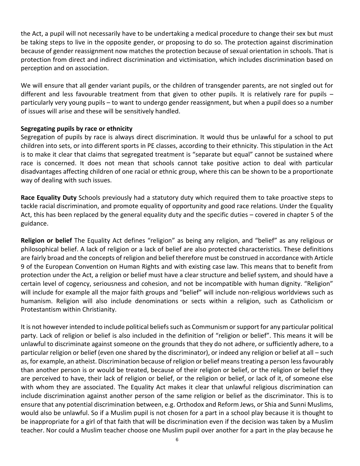the Act, a pupil will not necessarily have to be undertaking a medical procedure to change their sex but must be taking steps to live in the opposite gender, or proposing to do so. The protection against discrimination because of gender reassignment now matches the protection because of sexual orientation in schools. That is protection from direct and indirect discrimination and victimisation, which includes discrimination based on perception and on association.

We will ensure that all gender variant pupils, or the children of transgender parents, are not singled out for different and less favourable treatment from that given to other pupils. It is relatively rare for pupils particularly very young pupils – to want to undergo gender reassignment, but when a pupil does so a number of issues will arise and these will be sensitively handled.

#### **Segregating pupils by race or ethnicity**

Segregation of pupils by race is always direct discrimination. It would thus be unlawful for a school to put children into sets, or into different sports in PE classes, according to their ethnicity. This stipulation in the Act is to make it clear that claims that segregated treatment is "separate but equal" cannot be sustained where race is concerned. It does not mean that schools cannot take positive action to deal with particular disadvantages affecting children of one racial or ethnic group, where this can be shown to be a proportionate way of dealing with such issues.

**Race Equality Duty** Schools previously had a statutory duty which required them to take proactive steps to tackle racial discrimination, and promote equality of opportunity and good race relations. Under the Equality Act, this has been replaced by the general equality duty and the specific duties – covered in chapter 5 of the guidance.

**Religion or belief** The Equality Act defines "religion" as being any religion, and "belief" as any religious or philosophical belief. A lack of religion or a lack of belief are also protected characteristics. These definitions are fairly broad and the concepts of religion and belief therefore must be construed in accordance with Article 9 of the European Convention on Human Rights and with existing case law. This means that to benefit from protection under the Act, a religion or belief must have a clear structure and belief system, and should have a certain level of cogency, seriousness and cohesion, and not be incompatible with human dignity. "Religion" will include for example all the major faith groups and "belief" will include non-religious worldviews such as humanism. Religion will also include denominations or sects within a religion, such as Catholicism or Protestantism within Christianity.

It is not however intended to include political beliefs such as Communism or support for any particular political party. Lack of religion or belief is also included in the definition of "religion or belief". This means it will be unlawful to discriminate against someone on the grounds that they do not adhere, or sufficiently adhere, to a particular religion or belief (even one shared by the discriminator), or indeed any religion or belief at all – such as, for example, an atheist. Discrimination because of religion or belief means treating a person less favourably than another person is or would be treated, because of their religion or belief, or the religion or belief they are perceived to have, their lack of religion or belief, or the religion or belief, or lack of it, of someone else with whom they are associated. The Equality Act makes it clear that unlawful religious discrimination can include discrimination against another person of the same religion or belief as the discriminator. This is to ensure that any potential discrimination between, e.g. Orthodox and Reform Jews, or Shia and Sunni Muslims, would also be unlawful. So if a Muslim pupil is not chosen for a part in a school play because it is thought to be inappropriate for a girl of that faith that will be discrimination even if the decision was taken by a Muslim teacher. Nor could a Muslim teacher choose one Muslim pupil over another for a part in the play because he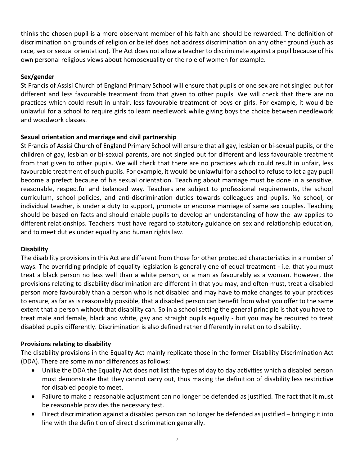thinks the chosen pupil is a more observant member of his faith and should be rewarded. The definition of discrimination on grounds of religion or belief does not address discrimination on any other ground (such as race, sex or sexual orientation). The Act does not allow a teacher to discriminate against a pupil because of his own personal religious views about homosexuality or the role of women for example.

# **Sex/gender**

St Francis of Assisi Church of England Primary School will ensure that pupils of one sex are not singled out for different and less favourable treatment from that given to other pupils. We will check that there are no practices which could result in unfair, less favourable treatment of boys or girls. For example, it would be unlawful for a school to require girls to learn needlework while giving boys the choice between needlework and woodwork classes.

# **Sexual orientation and marriage and civil partnership**

St Francis of Assisi Church of England Primary School will ensure that all gay, lesbian or bi-sexual pupils, or the children of gay, lesbian or bi-sexual parents, are not singled out for different and less favourable treatment from that given to other pupils. We will check that there are no practices which could result in unfair, less favourable treatment of such pupils. For example, it would be unlawful for a school to refuse to let a gay pupil become a prefect because of his sexual orientation. Teaching about marriage must be done in a sensitive, reasonable, respectful and balanced way. Teachers are subject to professional requirements, the school curriculum, school policies, and anti-discrimination duties towards colleagues and pupils. No school, or individual teacher, is under a duty to support, promote or endorse marriage of same sex couples. Teaching should be based on facts and should enable pupils to develop an understanding of how the law applies to different relationships. Teachers must have regard to statutory guidance on sex and relationship education, and to meet duties under equality and human rights law.

## **Disability**

The disability provisions in this Act are different from those for other protected characteristics in a number of ways. The overriding principle of equality legislation is generally one of equal treatment - i.e. that you must treat a black person no less well than a white person, or a man as favourably as a woman. However, the provisions relating to disability discrimination are different in that you may, and often must, treat a disabled person more favourably than a person who is not disabled and may have to make changes to your practices to ensure, as far as is reasonably possible, that a disabled person can benefit from what you offer to the same extent that a person without that disability can. So in a school setting the general principle is that you have to treat male and female, black and white, gay and straight pupils equally - but you may be required to treat disabled pupils differently. Discrimination is also defined rather differently in relation to disability.

## **Provisions relating to disability**

The disability provisions in the Equality Act mainly replicate those in the former Disability Discrimination Act (DDA). There are some minor differences as follows:

- Unlike the DDA the Equality Act does not list the types of day to day activities which a disabled person must demonstrate that they cannot carry out, thus making the definition of disability less restrictive for disabled people to meet.
- Failure to make a reasonable adjustment can no longer be defended as justified. The fact that it must be reasonable provides the necessary test.
- Direct discrimination against a disabled person can no longer be defended as justified bringing it into line with the definition of direct discrimination generally.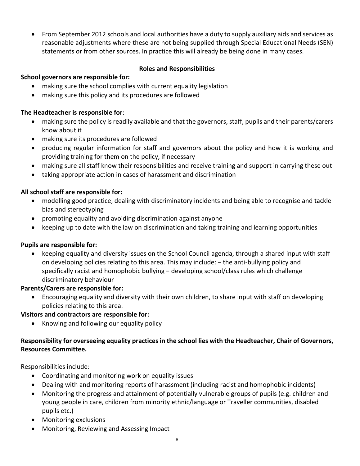• From September 2012 schools and local authorities have a duty to supply auxiliary aids and services as reasonable adjustments where these are not being supplied through Special Educational Needs (SEN) statements or from other sources. In practice this will already be being done in many cases.

## **Roles and Responsibilities**

# **School governors are responsible for:**

- making sure the school complies with current equality legislation
- making sure this policy and its procedures are followed

## **The Headteacher is responsible for**:

- making sure the policy is readily available and that the governors, staff, pupils and their parents/carers know about it
- making sure its procedures are followed
- producing regular information for staff and governors about the policy and how it is working and providing training for them on the policy, if necessary
- making sure all staff know their responsibilities and receive training and support in carrying these out
- taking appropriate action in cases of harassment and discrimination

# **All school staff are responsible for:**

- modelling good practice, dealing with discriminatory incidents and being able to recognise and tackle bias and stereotyping
- promoting equality and avoiding discrimination against anyone
- keeping up to date with the law on discrimination and taking training and learning opportunities

## **Pupils are responsible for:**

• keeping equality and diversity issues on the School Council agenda, through a shared input with staff on developing policies relating to this area. This may include: − the anti-bullying policy and specifically racist and homophobic bullying – developing school/class rules which challenge discriminatory behaviour

## **Parents/Carers are responsible for:**

• Encouraging equality and diversity with their own children, to share input with staff on developing policies relating to this area.

## **Visitors and contractors are responsible for:**

• Knowing and following our equality policy

# **Responsibility for overseeing equality practices in the school lies with the Headteacher, Chair of Governors, Resources Committee.**

Responsibilities include:

- Coordinating and monitoring work on equality issues
- Dealing with and monitoring reports of harassment (including racist and homophobic incidents)
- Monitoring the progress and attainment of potentially vulnerable groups of pupils (e.g. children and young people in care, children from minority ethnic/language or Traveller communities, disabled pupils etc.)
- Monitoring exclusions
- Monitoring, Reviewing and Assessing Impact